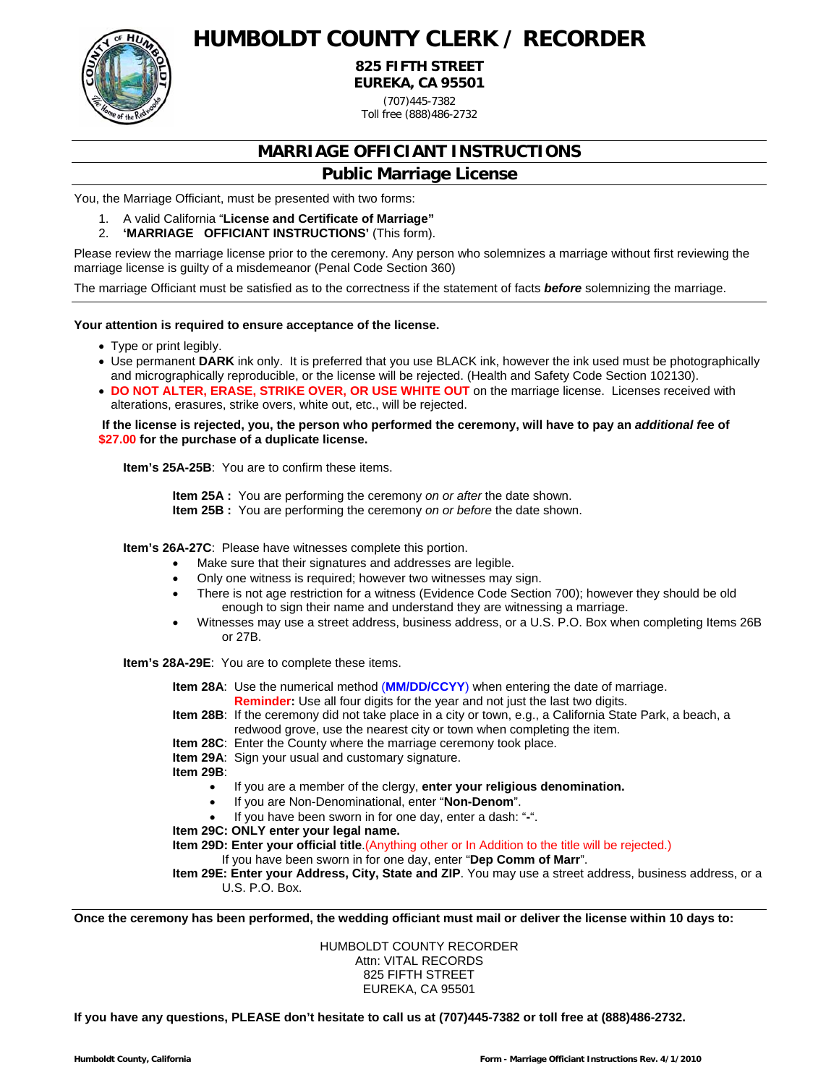

# **HUMBOLDT COUNTY CLERK / RECORDER**

**825 FIFTH STREET EUREKA, CA 95501** 

(707)445-7382

Toll free (888)486-2732

### **MARRIAGE OFFICIANT INSTRUCTIONS**

#### **Public Marriage License**

You, the Marriage Officiant, must be presented with two forms:

- 1. A valid California "**License and Certificate of Marriage"**
- 2. **'MARRIAGE OFFICIANT INSTRUCTIONS'** (This form).

Please review the marriage license prior to the ceremony. Any person who solemnizes a marriage without first reviewing the marriage license is guilty of a misdemeanor (Penal Code Section 360)

The marriage Officiant must be satisfied as to the correctness if the statement of facts *before* solemnizing the marriage.

#### **Your attention is required to ensure acceptance of the license.**

- Type or print legibly.
- Use permanent **DARK** ink only. It is preferred that you use BLACK ink, however the ink used must be photographically and micrographically reproducible, or the license will be rejected. (Health and Safety Code Section 102130).
- **DO NOT ALTER, ERASE, STRIKE OVER, OR USE WHITE OUT** on the marriage license. Licenses received with alterations, erasures, strike overs, white out, etc., will be rejected.

 **If the license is rejected, you, the person who performed the ceremony, will have to pay an** *additional f***ee of \$27.00 for the purchase of a duplicate license.** 

**Item's 25A-25B**: You are to confirm these items.

**Item 25A :** You are performing the ceremony *on or after* the date shown.

**Item 25B :** You are performing the ceremony *on or before* the date shown.

**Item's 26A-27C**: Please have witnesses complete this portion.

- Make sure that their signatures and addresses are legible.
- Only one witness is required; however two witnesses may sign.
- There is not age restriction for a witness (Evidence Code Section 700); however they should be old enough to sign their name and understand they are witnessing a marriage.
- Witnesses may use a street address, business address, or a U.S. P.O. Box when completing Items 26B or 27B.

**Item's 28A-29E**: You are to complete these items.

**Item 28A**: Use the numerical method (**MM/DD/CCYY**) when entering the date of marriage. **Reminder:** Use all four digits for the year and not just the last two digits.

**Item 28B**: If the ceremony did not take place in a city or town, e.g., a California State Park, a beach, a redwood grove, use the nearest city or town when completing the item.

- **Item 28C**: Enter the County where the marriage ceremony took place.
- **Item 29A**: Sign your usual and customary signature.

**Item 29B**:

- If you are a member of the clergy, **enter your religious denomination.**
- If you are Non-Denominational, enter "**Non-Denom**".
- If you have been sworn in for one day, enter a dash: "**-**".
- **Item 29C: ONLY enter your legal name.**

**Item 29D: Enter your official title**.(Anything other or In Addition to the title will be rejected.)

If you have been sworn in for one day, enter "**Dep Comm of Marr**".

**Item 29E: Enter your Address, City, State and ZIP**. You may use a street address, business address, or a U.S. P.O. Box.

**Once the ceremony has been performed, the wedding officiant must mail or deliver the license within 10 days to:** 

HUMBOLDT COUNTY RECORDER Attn: VITAL RECORDS 825 FIFTH STREET EUREKA, CA 95501

**If you have any questions, PLEASE don't hesitate to call us at (707)445-7382 or toll free at (888)486-2732.**